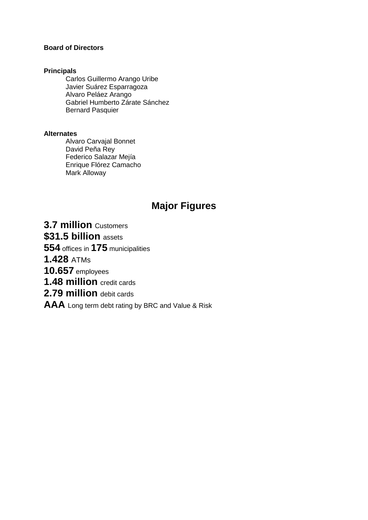#### **Board of Directors**

#### **Principals**

Carlos Guillermo Arango Uribe Javier Suárez Esparragoza Alvaro Peláez Arango Gabriel Humberto Zárate Sánchez Bernard Pasquier

#### **Alternates**

Alvaro Carvajal Bonnet David Peña Rey Federico Salazar Mejía Enrique Flórez Camacho Mark Alloway

# **Major Figures**

**3.7 million** Customers

**\$31.5 billion** assets

**554** offices in **175** municipalities

**1.428** ATMs

**10.657** employees

**1.48 million** credit cards

**2.79 million** debit cards

**AAA** Long term debt rating by BRC and Value & Risk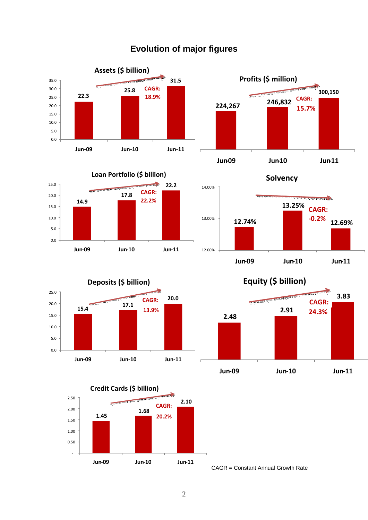

# **Evolution of major figures**



0.0 5.0 10.0 15.0 20.0

**Jun-09 Jun-10 Jun-11**



**1.45 1.68 2.10**  - 0.50 1.00 1.50 2.00 2.50 **Jun-09 Jun-10 Jun-11 Credit Cards (\$ billion) CAGR: 20.2%**



**Solvency**



**Equity (\$ billion)**



CAGR = Constant Annual Growth Rate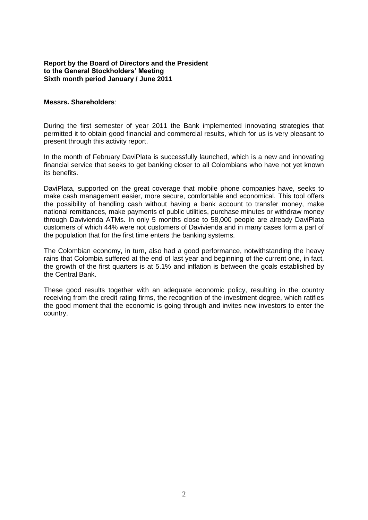#### **Report by the Board of Directors and the President to the General Stockholders' Meeting Sixth month period January / June 2011**

#### **Messrs. Shareholders**:

During the first semester of year 2011 the Bank implemented innovating strategies that permitted it to obtain good financial and commercial results, which for us is very pleasant to present through this activity report.

In the month of February DaviPlata is successfully launched, which is a new and innovating financial service that seeks to get banking closer to all Colombians who have not yet known its benefits.

DaviPlata, supported on the great coverage that mobile phone companies have, seeks to make cash management easier, more secure, comfortable and economical. This tool offers the possibility of handling cash without having a bank account to transfer money, make national remittances, make payments of public utilities, purchase minutes or withdraw money through Davivienda ATMs. In only 5 months close to 58,000 people are already DaviPlata customers of which 44% were not customers of Davivienda and in many cases form a part of the population that for the first time enters the banking systems.

The Colombian economy, in turn, also had a good performance, notwithstanding the heavy rains that Colombia suffered at the end of last year and beginning of the current one, in fact, the growth of the first quarters is at 5.1% and inflation is between the goals established by the Central Bank.

These good results together with an adequate economic policy, resulting in the country receiving from the credit rating firms, the recognition of the investment degree, which ratifies the good moment that the economic is going through and invites new investors to enter the country.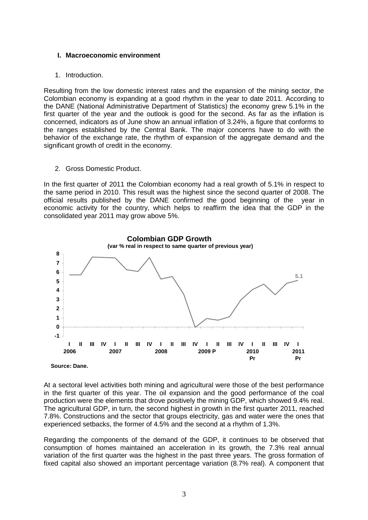#### **I. Macroeconomic environment**

#### 1. Introduction.

Resulting from the low domestic interest rates and the expansion of the mining sector, the Colombian economy is expanding at a good rhythm in the year to date 2011. According to the DANE (National Administrative Department of Statistics) the economy grew 5.1% in the first quarter of the year and the outlook is good for the second. As far as the inflation is concerned, indicators as of June show an annual inflation of 3.24%, a figure that conforms to the ranges established by the Central Bank. The major concerns have to do with the behavior of the exchange rate, the rhythm of expansion of the aggregate demand and the significant growth of credit in the economy.

2. Gross Domestic Product.

In the first quarter of 2011 the Colombian economy had a real growth of 5.1% in respect to the same period in 2010. This result was the highest since the second quarter of 2008. The official results published by the DANE confirmed the good beginning of the year in economic activity for the country, which helps to reaffirm the idea that the GDP in the consolidated year 2011 may grow above 5%.



At a sectoral level activities both mining and agricultural were those of the best performance in the first quarter of this year. The oil expansion and the good performance of the coal production were the elements that drove positively the mining GDP, which showed 9.4% real. The agricultural GDP, in turn, the second highest in growth in the first quarter 2011, reached 7.8%. Constructions and the sector that groups electricity, gas and water were the ones that experienced setbacks, the former of 4.5% and the second at a rhythm of 1.3%.

Regarding the components of the demand of the GDP, it continues to be observed that consumption of homes maintained an acceleration in its growth, the 7.3% real annual variation of the first quarter was the highest in the past three years. The gross formation of fixed capital also showed an important percentage variation (8.7% real). A component that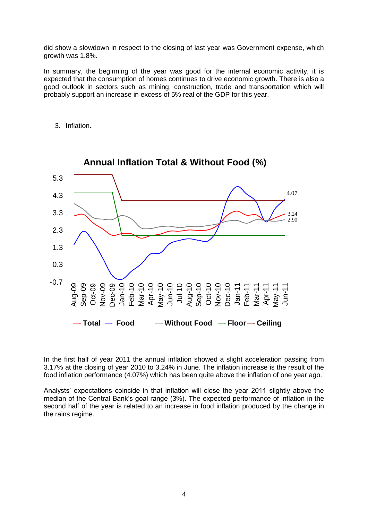did show a slowdown in respect to the closing of last year was Government expense, which growth was 1.8%.

In summary, the beginning of the year was good for the internal economic activity, it is expected that the consumption of homes continues to drive economic growth. There is also a good outlook in sectors such as mining, construction, trade and transportation which will probably support an increase in excess of 5% real of the GDP for this year.

3. Inflation.



In the first half of year 2011 the annual inflation showed a slight acceleration passing from 3.17% at the closing of year 2010 to 3.24% in June. The inflation increase is the result of the food inflation performance (4.07%) which has been quite above the inflation of one year ago.

Analysts' expectations coincide in that inflation will close the year 2011 slightly above the median of the Central Bank's goal range (3%). The expected performance of inflation in the second half of the year is related to an increase in food inflation produced by the change in the rains regime.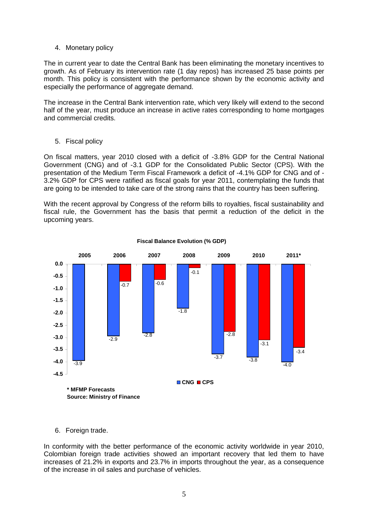#### 4. Monetary policy

The in current year to date the Central Bank has been eliminating the monetary incentives to growth. As of February its intervention rate (1 day repos) has increased 25 base points per month. This policy is consistent with the performance shown by the economic activity and especially the performance of aggregate demand.

The increase in the Central Bank intervention rate, which very likely will extend to the second half of the year, must produce an increase in active rates corresponding to home mortgages and commercial credits.

#### 5. Fiscal policy

On fiscal matters, year 2010 closed with a deficit of -3.8% GDP for the Central National Government (CNG) and of -3.1 GDP for the Consolidated Public Sector (CPS). With the presentation of the Medium Term Fiscal Framework a deficit of -4.1% GDP for CNG and of - 3.2% GDP for CPS were ratified as fiscal goals for year 2011, contemplating the funds that are going to be intended to take care of the strong rains that the country has been suffering.

With the recent approval by Congress of the reform bills to royalties, fiscal sustainability and fiscal rule, the Government has the basis that permit a reduction of the deficit in the upcoming years.



#### **Fiscal Balance Evolution (% GDP)**

6. Foreign trade.

In conformity with the better performance of the economic activity worldwide in year 2010, Colombian foreign trade activities showed an important recovery that led them to have increases of 21.2% in exports and 23.7% in imports throughout the year, as a consequence of the increase in oil sales and purchase of vehicles.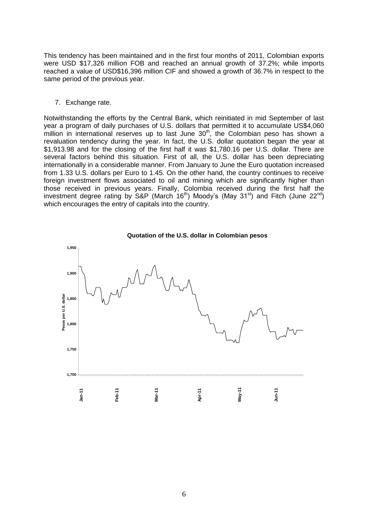This tendency has been maintained and in the first four months of 2011, Colombian exports were USD \$17,326 million FOB and reached an annual growth of 37.2%; while imports reached a value of USD\$16,396 million CIF and showed a growth of 36.7% in respect to the same period of the previous year.

#### 7. Exchange rate.

Notwithstanding the efforts by the Central Bank, which reinitiated in mid September of last year a program of daily purchases of U.S. dollars that permitted it to accumulate US\$4,060 million in international reserves up to last June 30<sup>th</sup>, the Colombian peso has shown a revaluation tendency during the year. In fact, the U.S. dollar quotation began the year at \$1,913.98 and for the closing of the first half it was \$1,780.16 per U.S. dollar. There are several factors behind this situation. First of all, the U.S. dollar has been depreciating internationally in a considerable manner. From January to June the Euro quotation increased from 1.33 U.S. dollars per Euro to 1.45. On the other hand, the country continues to receive foreign investment flows associated to oil and mining which are significantly higher than those received in previous years. Finally, Colombia received during the first half the investment degree rating by S&P (March 16<sup>th</sup>) Moody's (May 31<sup>st</sup>) and Fitch (June 22<sup>nd</sup>) which encourages the entry of capitals into the country.



**Quotation of the U.S. dollar in Colombian pesos**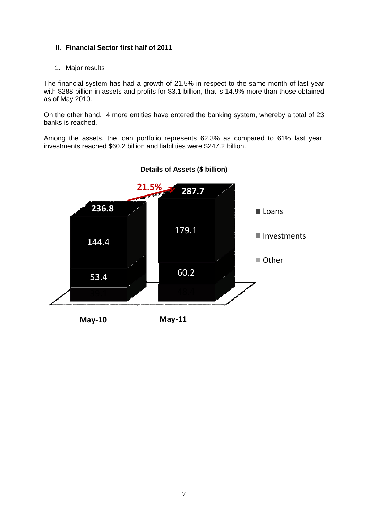# **II. Financial Sector first half of 2011**

1. Major results

The financial system has had a growth of 21.5% in respect to the same month of last year with \$288 billion in assets and profits for \$3.1 billion, that is 14.9% more than those obtained as of May 2010.

On the other hand, 4 more entities have entered the banking system, whereby a total of 23 banks is reached.

Among the assets, the loan portfolio represents 62.3% as compared to 61% last year, investments reached \$60.2 billion and liabilities were \$247.2 billion.



# **Details of Assets (\$ billion)**

**May-10 May-11**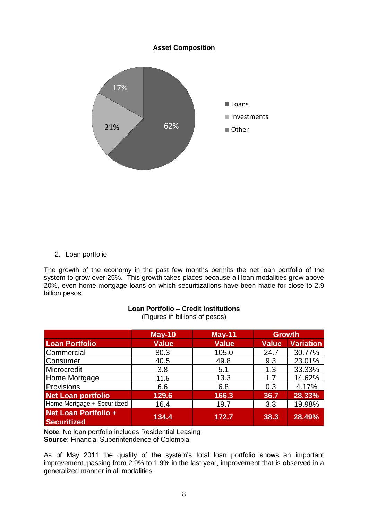

# 2. Loan portfolio

The growth of the economy in the past few months permits the net loan portfolio of the system to grow over 25%. This growth takes places because all loan modalities grow above 20%, even home mortgage loans on which securitizations have been made for close to 2.9 billion pesos.

#### **Loan Portfolio – Credit Institutions**

(Figures in billions of pesos)

|                                            | $May-10$     | <b>May-11</b> | <b>Growth</b> |                  |
|--------------------------------------------|--------------|---------------|---------------|------------------|
| <b>Loan Portfolio</b>                      | <b>Value</b> | <b>Value</b>  | <b>Value</b>  | <b>Variation</b> |
| Commercial                                 | 80.3         | 105.0         | 24.7          | 30.77%           |
| Consumer                                   | 40.5         | 49.8          | 9.3           | 23.01%           |
| Microcredit                                | 3.8          | 5.1           | 1.3           | 33.33%           |
| Home Mortgage                              | 11.6         | 13.3          | 1.7           | 14.62%           |
| Provisions                                 | 6.6          | 6.8           | 0.3           | 4.17%            |
| <b>Net Loan portfolio</b>                  | 129.6        | 166.3         | 36.7          | 28.33%           |
| Home Mortgage + Securitized                | 16.4         | 19.7          | 3.3           | 19.98%           |
| Net Loan Portfolio +<br><b>Securitized</b> | 134.4        | 172.7         | 38.3          | 28.49%           |

**Note**: No loan portfolio includes Residential Leasing **Source**: Financial Superintendence of Colombia

As of May 2011 the quality of the system's total loan portfolio shows an important improvement, passing from 2.9% to 1.9% in the last year, improvement that is observed in a generalized manner in all modalities.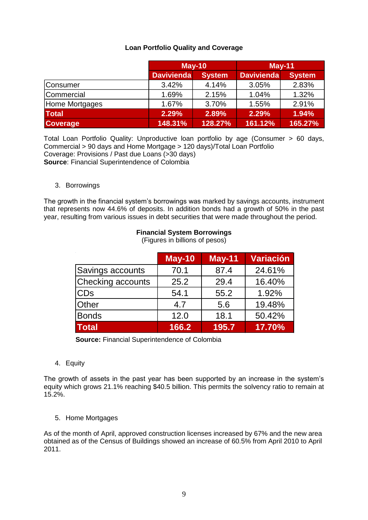# **Loan Portfolio Quality and Coverage**

|                 | $May-10$          |               | $May-11$          |               |
|-----------------|-------------------|---------------|-------------------|---------------|
|                 | <b>Davivienda</b> | <b>System</b> | <b>Davivienda</b> | <b>System</b> |
| <b>Consumer</b> | 3.42%             | 4.14%         | 3.05%             | 2.83%         |
| Commercial      | 1.69%             | 2.15%         | 1.04%             | 1.32%         |
| Home Mortgages  | 1.67%             | 3.70%         | 1.55%             | 2.91%         |
| <b>Total</b>    | 2.29%             | 2.89%         | 2.29%             | 1.94%         |
| <b>Coverage</b> | 148.31%           | 128.27%       | 161.12%           | $165.27\%$    |

Total Loan Portfolio Quality: Unproductive loan portfolio by age (Consumer > 60 days, Commercial > 90 days and Home Mortgage > 120 days)/Total Loan Portfolio Coverage: Provisions / Past due Loans (>30 days) **Source**: Financial Superintendence of Colombia

#### 3. Borrowings

The growth in the financial system's borrowings was marked by savings accounts, instrument that represents now 44.6% of deposits. In addition bonds had a growth of 50% in the past year, resulting from various issues in debt securities that were made throughout the period.

|                          | <b>May-10</b> | $May-11$ | <b>Variación</b> |
|--------------------------|---------------|----------|------------------|
| Savings accounts         | 70.1          | 87.4     | 24.61%           |
| <b>Checking accounts</b> | 25.2          | 29.4     | 16.40%           |
| <b>CD<sub>s</sub></b>    | 54.1          | 55.2     | 1.92%            |
| <b>Other</b>             | 4.7           | 5.6      | 19.48%           |
| <b>Bonds</b>             | 12.0          | 18.1     | 50.42%           |
| <b>Total</b>             | 166.2         | 195.7    | 17.70%           |

# **Financial System Borrowings**

(Figures in billions of pesos)

 **Source:** Financial Superintendence of Colombia

4. Equity

The growth of assets in the past year has been supported by an increase in the system's equity which grows 21.1% reaching \$40.5 billion. This permits the solvency ratio to remain at 15.2%.

#### 5. Home Mortgages

As of the month of April, approved construction licenses increased by 67% and the new area obtained as of the Census of Buildings showed an increase of 60.5% from April 2010 to April 2011.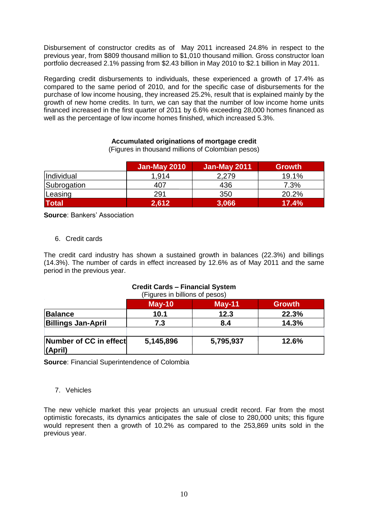Disbursement of constructor credits as of May 2011 increased 24.8% in respect to the previous year, from \$809 thousand million to \$1,010 thousand million. Gross constructor loan portfolio decreased 2.1% passing from \$2.43 billion in May 2010 to \$2.1 billion in May 2011.

Regarding credit disbursements to individuals, these experienced a growth of 17.4% as compared to the same period of 2010, and for the specific case of disbursements for the purchase of low income housing, they increased 25.2%, result that is explained mainly by the growth of new home credits. In turn, we can say that the number of low income home units financed increased in the first quarter of 2011 by 6.6% exceeding 28,000 homes financed as well as the percentage of low income homes finished, which increased 5.3%.

#### **Accumulated originations of mortgage credit**

(Figures in thousand millions of Colombian pesos)

|                   | <b>Jan-May 2010</b> | Jan-May 2011 | <b>Growth</b> |
|-------------------|---------------------|--------------|---------------|
| <i>Individual</i> | 1.914               | 2,279        | 19.1%         |
| Subrogation       | 407                 | 436          | 7.3%          |
| Leasing           | 291                 | 350          | 20.2%         |
| <b>Total</b>      | 2,612               | 3,066        | 17.4%         |

**Source**: Bankers' Association

6. Credit cards

The credit card industry has shown a sustained growth in balances (22.3%) and billings (14.3%). The number of cards in effect increased by 12.6% as of May 2011 and the same period in the previous year.

# **Credit Cards – Financial System**

(Figures in billions of pesos)

|                                   | $May-10$  | $May-11$  | <b>Growth</b> |
|-----------------------------------|-----------|-----------|---------------|
| <b>Balance</b>                    | 10.1      | 12.3      | 22.3%         |
| <b>Billings Jan-April</b>         | 7.3       | 8.4       | 14.3%         |
| Number of CC in effect<br>(April) | 5,145,896 | 5,795,937 | 12.6%         |

**Source**: Financial Superintendence of Colombia

#### 7. Vehicles

The new vehicle market this year projects an unusual credit record. Far from the most optimistic forecasts, its dynamics anticipates the sale of close to 280,000 units; this figure would represent then a growth of 10.2% as compared to the 253,869 units sold in the previous year.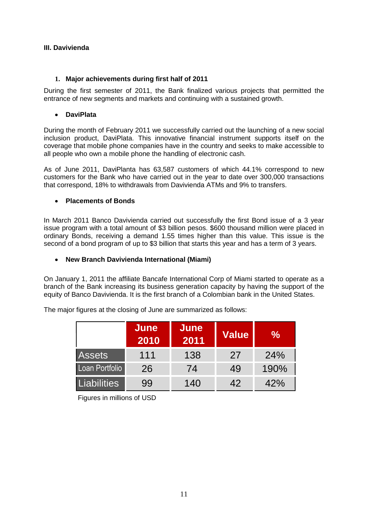# **III. Davivienda**

# **1. Major achievements during first half of 2011**

During the first semester of 2011, the Bank finalized various projects that permitted the entrance of new segments and markets and continuing with a sustained growth.

#### **DaviPlata**

During the month of February 2011 we successfully carried out the launching of a new social inclusion product, DaviPlata. This innovative financial instrument supports itself on the coverage that mobile phone companies have in the country and seeks to make accessible to all people who own a mobile phone the handling of electronic cash.

As of June 2011, DaviPlanta has 63,587 customers of which 44.1% correspond to new customers for the Bank who have carried out in the year to date over 300,000 transactions that correspond, 18% to withdrawals from Davivienda ATMs and 9% to transfers.

# **Placements of Bonds**

In March 2011 Banco Davivienda carried out successfully the first Bond issue of a 3 year issue program with a total amount of \$3 billion pesos. \$600 thousand million were placed in ordinary Bonds, receiving a demand 1.55 times higher than this value. This issue is the second of a bond program of up to \$3 billion that starts this year and has a term of 3 years.

#### **New Branch Davivienda International (Miami)**

On January 1, 2011 the affiliate Bancafe International Corp of Miami started to operate as a branch of the Bank increasing its business generation capacity by having the support of the equity of Banco Davivienda. It is the first branch of a Colombian bank in the United States.

|                    | June<br>2010 | June<br>2011 | <b>Value</b> | ℅    |
|--------------------|--------------|--------------|--------------|------|
| <b>Assets</b>      | 111          | 138          | 27           | 24%  |
| Loan Portfolio     | 26           | 74           | 49           | 190% |
| <b>Liabilities</b> | 99           | 140          | 42           | 42%  |

The major figures at the closing of June are summarized as follows:

Figures in millions of USD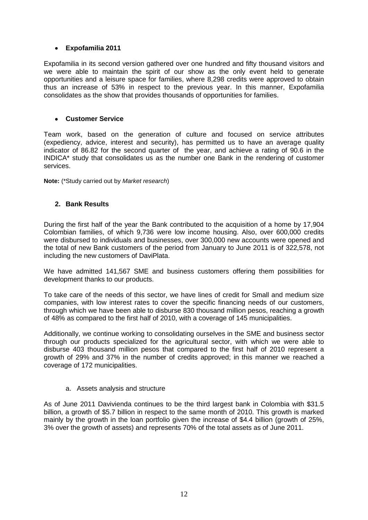# **Expofamilia 2011**

Expofamilia in its second version gathered over one hundred and fifty thousand visitors and we were able to maintain the spirit of our show as the only event held to generate opportunities and a leisure space for families, where 8,298 credits were approved to obtain thus an increase of 53% in respect to the previous year. In this manner, Expofamilia consolidates as the show that provides thousands of opportunities for families.

#### **Customer Service**

Team work, based on the generation of culture and focused on service attributes (expediency, advice, interest and security), has permitted us to have an average quality indicator of 86.82 for the second quarter of the year, and achieve a rating of 90.6 in the INDICA\* study that consolidates us as the number one Bank in the rendering of customer services.

**Note:** (\*Study carried out by *Market research*)

# **2. Bank Results**

During the first half of the year the Bank contributed to the acquisition of a home by 17,904 Colombian families, of which 9,736 were low income housing. Also, over 600,000 credits were disbursed to individuals and businesses, over 300,000 new accounts were opened and the total of new Bank customers of the period from January to June 2011 is of 322,578, not including the new customers of DaviPlata.

We have admitted 141,567 SME and business customers offering them possibilities for development thanks to our products.

To take care of the needs of this sector, we have lines of credit for Small and medium size companies, with low interest rates to cover the specific financing needs of our customers, through which we have been able to disburse 830 thousand million pesos, reaching a growth of 48% as compared to the first half of 2010, with a coverage of 145 municipalities.

Additionally, we continue working to consolidating ourselves in the SME and business sector through our products specialized for the agricultural sector, with which we were able to disburse 403 thousand million pesos that compared to the first half of 2010 represent a growth of 29% and 37% in the number of credits approved; in this manner we reached a coverage of 172 municipalities.

#### a. Assets analysis and structure

As of June 2011 Davivienda continues to be the third largest bank in Colombia with \$31.5 billion, a growth of \$5.7 billion in respect to the same month of 2010. This growth is marked mainly by the growth in the loan portfolio given the increase of \$4.4 billion (growth of 25%, 3% over the growth of assets) and represents 70% of the total assets as of June 2011.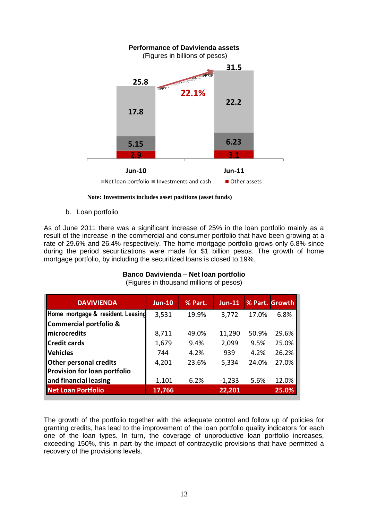

 **Note: Investments includes asset positions (asset funds)**

b. Loan portfolio

As of June 2011 there was a significant increase of 25% in the loan portfolio mainly as a result of the increase in the commercial and consumer portfolio that have been growing at a rate of 29.6% and 26.4% respectively. The home mortgage portfolio grows only 6.8% since during the period securitizations were made for \$1 billion pesos. The growth of home mortgage portfolio, by including the securitized loans is closed to 19%.

# **Banco Davivienda – Net loan portfolio**

| <b>DAVIVIENDA</b>                 | <b>Jun-10</b> | % Part. | $Jun-11$ |       | % Part. Growth |
|-----------------------------------|---------------|---------|----------|-------|----------------|
| Home mortgage & resident. Leasing | 3,531         | 19.9%   | 3,772    | 17.0% | 6.8%           |
| Commercial portfolio &            |               |         |          |       |                |
| <b>Imicrocredits</b>              | 8,711         | 49.0%   | 11,290   | 50.9% | 29.6%          |
| <b>Credit cards</b>               | 1,679         | 9.4%    | 2,099    | 9.5%  | 25.0%          |
| <b>Vehicles</b>                   | 744           | 4.2%    | 939      | 4.2%  | 26.2%          |
| <b>Other personal credits</b>     | 4,201         | 23.6%   | 5,334    | 24.0% | 27.0%          |
| Provision for loan portfolio      |               |         |          |       |                |
| and financial leasing             | $-1,101$      | 6.2%    | $-1,233$ | 5.6%  | 12.0%          |
| Net Loan Portfolio                | 17,766        |         | 22,201   |       | 25.0%          |

(Figures in thousand millions of pesos)

The growth of the portfolio together with the adequate control and follow up of policies for granting credits, has lead to the improvement of the loan portfolio quality indicators for each one of the loan types. In turn, the coverage of unproductive loan portfolio increases, exceeding 150%, this in part by the impact of contracyclic provisions that have permitted a recovery of the provisions levels.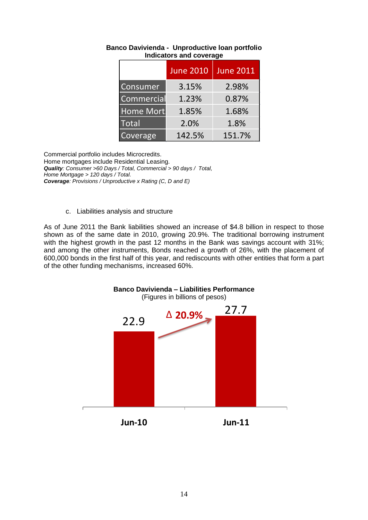|                  | <b>June 2010</b> | <b>June 2011</b> |
|------------------|------------------|------------------|
| Consumer         | 3.15%            | 2.98%            |
| Commercial       | 1.23%            | 0.87%            |
| <b>Home Mort</b> | 1.85%            | 1.68%            |
| <b>Total</b>     | 2.0%             | 1.8%             |
| Coverage         | 142.5%           | 151.7%           |

# **Banco Davivienda - Unproductive loan portfolio Indicators and coverage**

Commercial portfolio includes Microcredits. Home mortgages include Residential Leasing. *Quality: Consumer >60 Days / Total, Commercial > 90 days / Total, Home Mortgage > 120 days / Total. Coverage: Provisions / Unproductive x Rating (C, D and E)*

#### c. Liabilities analysis and structure

As of June 2011 the Bank liabilities showed an increase of \$4.8 billion in respect to those shown as of the same date in 2010, growing 20.9%. The traditional borrowing instrument with the highest growth in the past 12 months in the Bank was savings account with 31%; and among the other instruments, Bonds reached a growth of 26%, with the placement of 600,000 bonds in the first half of this year, and rediscounts with other entities that form a part of the other funding mechanisms, increased 60%.

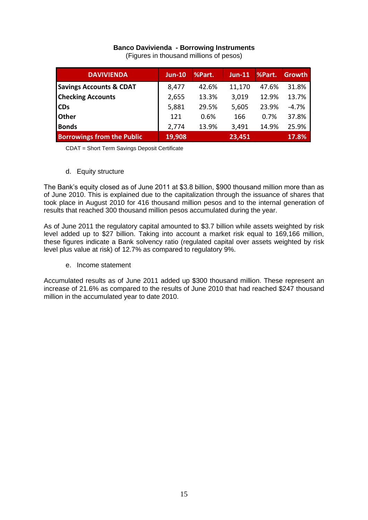# **Banco Davivienda - Borrowing Instruments**

(Figures in thousand millions of pesos)

| <b>DAVIVIENDA</b>                  | $Jun-10$ | %Part. | $Jun-11$ | %Part. | <b>Growth</b> |
|------------------------------------|----------|--------|----------|--------|---------------|
| <b>Savings Accounts &amp; CDAT</b> | 8,477    | 42.6%  | 11,170   | 47.6%  | 31.8%         |
| <b>Checking Accounts</b>           | 2,655    | 13.3%  | 3,019    | 12.9%  | 13.7%         |
| <b>CDs</b>                         | 5,881    | 29.5%  | 5,605    | 23.9%  | $-4.7%$       |
| <b>Other</b>                       | 121      | 0.6%   | 166      | 0.7%   | 37.8%         |
| <b>Bonds</b>                       | 2,774    | 13.9%  | 3,491    | 14.9%  | 25.9%         |
| <b>Borrowings from the Public</b>  | 19,908   |        | 23,451   |        | 17.8%         |

CDAT = Short Term Savings Deposit Certificate

d. Equity structure

The Bank's equity closed as of June 2011 at \$3.8 billion, \$900 thousand million more than as of June 2010. This is explained due to the capitalization through the issuance of shares that took place in August 2010 for 416 thousand million pesos and to the internal generation of results that reached 300 thousand million pesos accumulated during the year.

As of June 2011 the regulatory capital amounted to \$3.7 billion while assets weighted by risk level added up to \$27 billion. Taking into account a market risk equal to 169,166 million, these figures indicate a Bank solvency ratio (regulated capital over assets weighted by risk level plus value at risk) of 12.7% as compared to regulatory 9%.

e. Income statement

Accumulated results as of June 2011 added up \$300 thousand million. These represent an increase of 21.6% as compared to the results of June 2010 that had reached \$247 thousand million in the accumulated year to date 2010.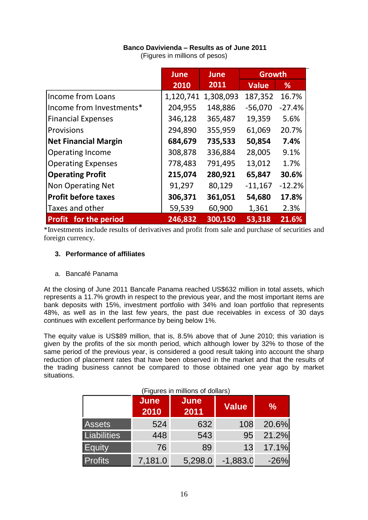# **Banco Davivienda – Results as of June 2011**

| (Figures in millions of pesos) |  |
|--------------------------------|--|
|--------------------------------|--|

|                              | <b>June</b> | <b>June</b> | <b>Growth</b> |          |
|------------------------------|-------------|-------------|---------------|----------|
|                              | 2010        | 2011        | <b>Value</b>  | %        |
| Income from Loans            | 1,120,741   | 1,308,093   | 187,352       | 16.7%    |
| Income from Investments*     | 204,955     | 148,886     | $-56,070$     | $-27.4%$ |
| <b>Financial Expenses</b>    | 346,128     | 365,487     | 19,359        | 5.6%     |
| Provisions                   | 294,890     | 355,959     | 61,069        | 20.7%    |
| <b>Net Financial Margin</b>  | 684,679     | 735,533     | 50,854        | 7.4%     |
| <b>Operating Income</b>      | 308,878     | 336,884     | 28,005        | 9.1%     |
| <b>Operating Expenses</b>    | 778,483     | 791,495     | 13,012        | 1.7%     |
| <b>Operating Profit</b>      | 215,074     | 280,921     | 65,847        | 30.6%    |
| Non Operating Net            | 91,297      | 80,129      | $-11,167$     | $-12.2%$ |
| <b>Profit before taxes</b>   | 306,371     | 361,051     | 54,680        | 17.8%    |
| Taxes and other              | 59,539      | 60,900      | 1,361         | 2.3%     |
| <b>Profit</b> for the period | 246,832     | 300,150     | 53,318        | 21.6%    |

\*Investments include results of derivatives and profit from sale and purchase of securities and foreign currency.

#### **3. Performance of affiliates**

a. Bancafé Panama

At the closing of June 2011 Bancafe Panama reached US\$632 million in total assets, which represents a 11.7% growth in respect to the previous year, and the most important items are bank deposits with 15%, investment portfolio with 34% and loan portfolio that represents 48%, as well as in the last few years, the past due receivables in excess of 30 days continues with excellent performance by being below 1%.

The equity value is US\$89 million, that is, 8.5% above that of June 2010; this variation is given by the profits of the six month period, which although lower by 32% to those of the same period of the previous year, is considered a good result taking into account the sharp reduction of placement rates that have been observed in the market and that the results of the trading business cannot be compared to those obtained one year ago by market situations.

|                | <b>June</b><br>2010 | <b>June</b><br>2011 | <b>Value</b> | $\frac{0}{0}$ |
|----------------|---------------------|---------------------|--------------|---------------|
| <b>Assets</b>  | 524                 | 632                 | 108          | 20.6%         |
| Liabilities    | 448                 | 543                 | 95           | 21.2%         |
| <b>Equity</b>  | 76                  | 89                  | 13           | 17.1%         |
| <b>Profits</b> | 7,181.0             | 5,298.0             | $-1,883.0$   | $-26%$        |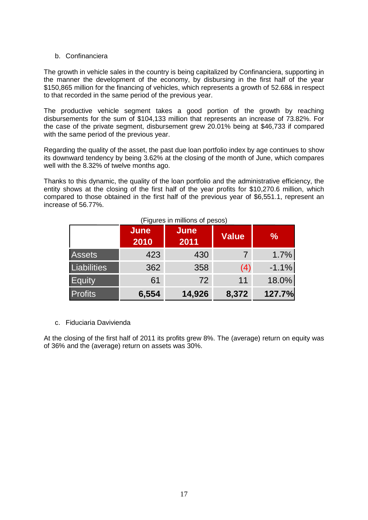#### b. Confinanciera

The growth in vehicle sales in the country is being capitalized by Confinanciera, supporting in the manner the development of the economy, by disbursing in the first half of the year \$150,865 million for the financing of vehicles, which represents a growth of 52.68& in respect to that recorded in the same period of the previous year.

The productive vehicle segment takes a good portion of the growth by reaching disbursements for the sum of \$104,133 million that represents an increase of 73.82%. For the case of the private segment, disbursement grew 20.01% being at \$46,733 if compared with the same period of the previous year.

Regarding the quality of the asset, the past due loan portfolio index by age continues to show its downward tendency by being 3.62% at the closing of the month of June, which compares well with the 8.32% of twelve months ago.

Thanks to this dynamic, the quality of the loan portfolio and the administrative efficiency, the entity shows at the closing of the first half of the year profits for \$10,270.6 million, which compared to those obtained in the first half of the previous year of \$6,551.1, represent an increase of 56.77%.

|                    | <b>June</b><br>2010 | <b>June</b><br>2011 | <b>Value</b> | $\frac{1}{2}$ |
|--------------------|---------------------|---------------------|--------------|---------------|
| <b>Assets</b>      | 423                 | 430                 |              | 1.7%          |
| <b>Liabilities</b> | 362                 | 358                 | (4)          | $-1.1%$       |
| Equity             | 61                  | 72                  | 11           | 18.0%         |
| <b>Profits</b>     | 6,554               | 14,926              | 8,372        | 127.7%        |

#### c. Fiduciaria Davivienda

At the closing of the first half of 2011 its profits grew 8%. The (average) return on equity was of 36% and the (average) return on assets was 30%.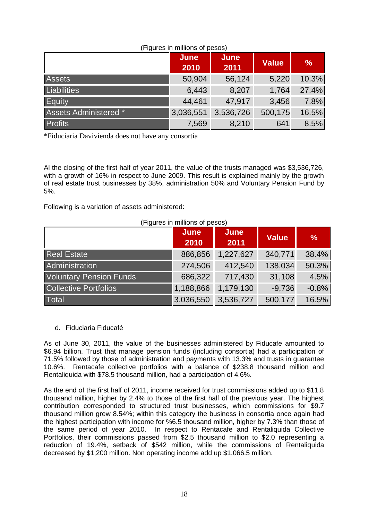| (Figures in millions of pesos) |                     |              |         |               |
|--------------------------------|---------------------|--------------|---------|---------------|
|                                | <b>June</b><br>2010 | June<br>2011 | Value   | $\frac{0}{0}$ |
| <b>Assets</b>                  | 50,904              | 56,124       | 5,220   | 10.3%         |
| Liabilities                    | 6,443               | 8,207        | 1,764   | 27.4%         |
| Equity                         | 44,461              | 47,917       | 3,456   | 7.8%          |
| Assets Administered *          | 3,036,551           | 3,536,726    | 500,175 | 16.5%         |
| <b>Profits</b>                 | 7,569               | 8,210        | 641     | 8.5%          |

(Figures in millions of pesos)

\*Fiduciaria Davivienda does not have any consortia

Al the closing of the first half of year 2011, the value of the trusts managed was \$3,536,726, with a growth of 16% in respect to June 2009. This result is explained mainly by the growth of real estate trust businesses by 38%, administration 50% and Voluntary Pension Fund by 5%.

Following is a variation of assets administered:

| (Figures in millions of pesos) |                     |                     |              |               |
|--------------------------------|---------------------|---------------------|--------------|---------------|
|                                | <b>June</b><br>2010 | <b>June</b><br>2011 | <b>Value</b> | $\frac{9}{6}$ |
| <b>Real Estate</b>             | 886,856             | 1,227,627           | 340,771      | 38.4%         |
| Administration                 | 274,506             | 412,540             | 138,034      | 50.3%         |
| <b>Voluntary Pension Funds</b> | 686,322             | 717,430             | 31,108       | 4.5%          |
| <b>Collective Portfolios</b>   | 1,188,866           | 1,179,130           | $-9,736$     | $-0.8%$       |
| Total                          | 3,036,550           | 3,536,727           | 500,177      | 16.5%         |

#### d. Fiduciaria Fiducafé

As of June 30, 2011, the value of the businesses administered by Fiducafe amounted to \$6.94 billion. Trust that manage pension funds (including consortia) had a participation of 71.5% followed by those of administration and payments with 13.3% and trusts in guarantee 10.6%. Rentacafe collective portfolios with a balance of \$238.8 thousand million and Rentaliquida with \$78.5 thousand million, had a participation of 4.6%.

As the end of the first half of 2011, income received for trust commissions added up to \$11.8 thousand million, higher by 2.4% to those of the first half of the previous year. The highest contribution corresponded to structured trust businesses, which commissions for \$9.7 thousand million grew 8.54%; within this category the business in consortia once again had the highest participation with income for %6.5 thousand million, higher by 7.3% than those of the same period of year 2010. In respect to Rentacafe and Rentaliquida Collective Portfolios, their commissions passed from \$2.5 thousand million to \$2.0 representing a reduction of 19.4%, setback of \$542 million, while the commissions of Rentaliquida decreased by \$1,200 million. Non operating income add up \$1,066.5 million.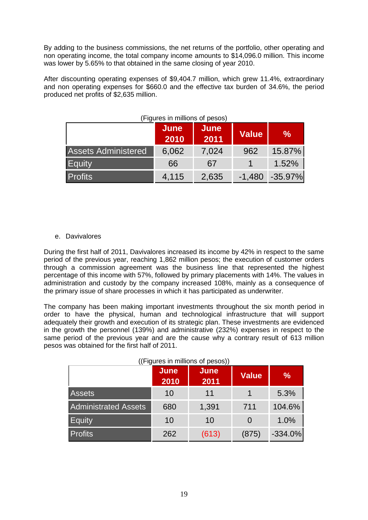By adding to the business commissions, the net returns of the portfolio, other operating and non operating income, the total company income amounts to \$14,096.0 million. This income was lower by 5.65% to that obtained in the same closing of year 2010.

After discounting operating expenses of \$9,404.7 million, which grew 11.4%, extraordinary and non operating expenses for \$660.0 and the effective tax burden of 34.6%, the period produced net profits of \$2,635 million.

|                            | June<br>2010 | June<br>2011 | <b>Value</b> | $\frac{9}{6}$ |
|----------------------------|--------------|--------------|--------------|---------------|
| <b>Assets Administered</b> | 6,062        | 7,024        | 962          | 15.87%        |
| Equity                     | 66           | 67           |              | 1.52%         |
| <b>Profits</b>             | 4,115        | 2,635        | $-1,480$     | $-35.97\%$    |

#### (Figures in millions of pesos)

#### e. Davivalores

During the first half of 2011, Davivalores increased its income by 42% in respect to the same period of the previous year, reaching 1,862 million pesos; the execution of customer orders through a commission agreement was the business line that represented the highest percentage of this income with 57%, followed by primary placements with 14%. The values in administration and custody by the company increased 108%, mainly as a consequence of the primary issue of share processes in which it has participated as underwriter.

The company has been making important investments throughout the six month period in order to have the physical, human and technological infrastructure that will support adequately their growth and execution of its strategic plan. These investments are evidenced in the growth the personnel (139%) and administrative (232%) expenses in respect to the same period of the previous year and are the cause why a contrary result of 613 million pesos was obtained for the first half of 2011.

| ((Figures in millions of pesos)) |                     |                     |              |               |  |
|----------------------------------|---------------------|---------------------|--------------|---------------|--|
|                                  | <b>June</b><br>2010 | <b>June</b><br>2011 | <b>Value</b> | $\frac{9}{6}$ |  |
| <b>Assets</b>                    | 10                  | 11                  |              | 5.3%          |  |
| <b>Administrated Assets</b>      | 680                 | 1,391               | 711          | 104.6%        |  |
| Equity                           | 10                  | 10                  |              | 1.0%          |  |
| <b>Profits</b>                   | 262                 | (613)               | (875)        | $-334.0%$     |  |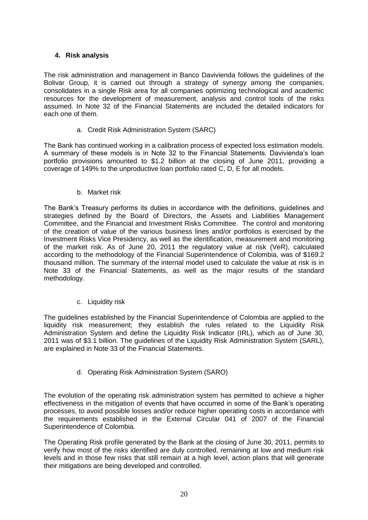# **4. Risk analysis**

The risk administration and management in Banco Davivienda follows the guidelines of the Bolivar Group, it is carried out through a strategy of synergy among the companies, consolidates in a single Risk area for all companies optimizing technological and academic resources for the development of measurement, analysis and control tools of the risks assumed. In Note 32 of the Financial Statements are included the detailed indicators for each one of them.

a. Credit Risk Administration System (SARC)

The Bank has continued working in a calibration process of expected loss estimation models. A summary of these models is in Note 32 to the Financial Statements. Davivienda's loan portfolio provisions amounted to \$1.2 billion at the closing of June 2011, providing a coverage of 149% to the unproductive loan portfolio rated C, D, E for all models.

b. Market risk

The Bank's Treasury performs its duties in accordance with the definitions, guidelines and strategies defined by the Board of Directors, the Assets and Liabilities Management Committee, and the Financial and Investment Risks Committee. The control and monitoring of the creation of value of the various business lines and/or portfolios is exercised by the Investment Risks Vice Presidency, as well as the identification, measurement and monitoring of the market risk. As of June 20, 2011 the regulatory value at risk (VeR), calculated according to the methodology of the Financial Superintendence of Colombia, was of \$169.2 thousand million. The summary of the internal model used to calculate the value at risk is in Note 33 of the Financial Statements, as well as the major results of the standard methodology.

c. Liquidity risk

The guidelines established by the Financial Superintendence of Colombia are applied to the liquidity risk measurement; they establish the rules related to the Liquidity Risk Administration System and define the Liquidity Risk Indicator (IRL), which as of June 30, 2011 was of \$3.1 billion. The guidelines of the Liquidity Risk Administration System (SARL), are explained in Note 33 of the Financial Statements.

d. Operating Risk Administration System (SARO)

The evolution of the operating risk administration system has permitted to achieve a higher effectiveness in the mitigation of events that have occurred in some of the Bank's operating processes, to avoid possible losses and/or reduce higher operating costs in accordance with the requirements established in the External Circular 041 of 2007 of the Financial Superintendence of Colombia.

The Operating Risk profile generated by the Bank at the closing of June 30, 2011, permits to verify how most of the risks identified are duly controlled, remaining at low and medium risk levels and in those few risks that still remain at a high level, action plans that will generate their mitigations are being developed and controlled.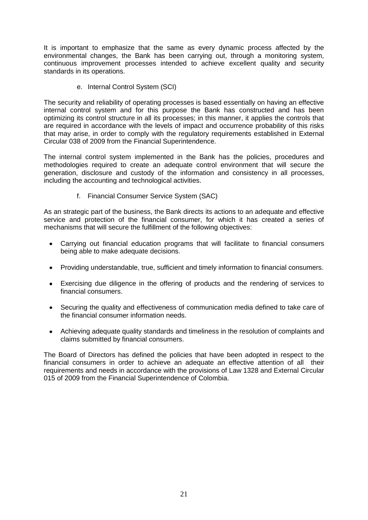It is important to emphasize that the same as every dynamic process affected by the environmental changes, the Bank has been carrying out, through a monitoring system, continuous improvement processes intended to achieve excellent quality and security standards in its operations.

e. Internal Control System (SCI)

The security and reliability of operating processes is based essentially on having an effective internal control system and for this purpose the Bank has constructed and has been optimizing its control structure in all its processes; in this manner, it applies the controls that are required in accordance with the levels of impact and occurrence probability of this risks that may arise, in order to comply with the regulatory requirements established in External Circular 038 of 2009 from the Financial Superintendence.

The internal control system implemented in the Bank has the policies, procedures and methodologies required to create an adequate control environment that will secure the generation, disclosure and custody of the information and consistency in all processes, including the accounting and technological activities.

f. Financial Consumer Service System (SAC)

As an strategic part of the business, the Bank directs its actions to an adequate and effective service and protection of the financial consumer, for which it has created a series of mechanisms that will secure the fulfillment of the following objectives:

- Carrying out financial education programs that will facilitate to financial consumers being able to make adequate decisions.
- Providing understandable, true, sufficient and timely information to financial consumers.
- Exercising due diligence in the offering of products and the rendering of services to financial consumers.
- Securing the quality and effectiveness of communication media defined to take care of  $\bullet$  . the financial consumer information needs.
- Achieving adequate quality standards and timeliness in the resolution of complaints and  $\bullet$ claims submitted by financial consumers.

The Board of Directors has defined the policies that have been adopted in respect to the financial consumers in order to achieve an adequate an effective attention of all their requirements and needs in accordance with the provisions of Law 1328 and External Circular 015 of 2009 from the Financial Superintendence of Colombia.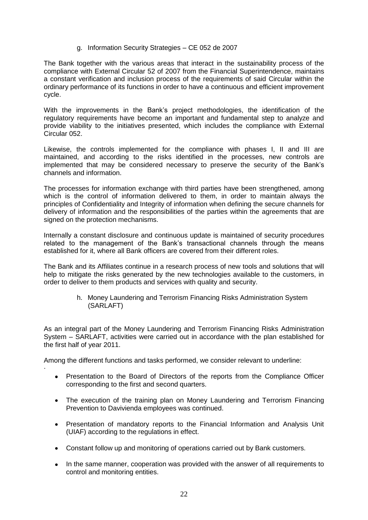#### g. Information Security Strategies – CE 052 de 2007

The Bank together with the various areas that interact in the sustainability process of the compliance with External Circular 52 of 2007 from the Financial Superintendence, maintains a constant verification and inclusion process of the requirements of said Circular within the ordinary performance of its functions in order to have a continuous and efficient improvement cycle.

With the improvements in the Bank's project methodologies, the identification of the regulatory requirements have become an important and fundamental step to analyze and provide viability to the initiatives presented, which includes the compliance with External Circular 052.

Likewise, the controls implemented for the compliance with phases I, II and III are maintained, and according to the risks identified in the processes, new controls are implemented that may be considered necessary to preserve the security of the Bank's channels and information.

The processes for information exchange with third parties have been strengthened, among which is the control of information delivered to them, in order to maintain always the principles of Confidentiality and Integrity of information when defining the secure channels for delivery of information and the responsibilities of the parties within the agreements that are signed on the protection mechanisms.

Internally a constant disclosure and continuous update is maintained of security procedures related to the management of the Bank's transactional channels through the means established for it, where all Bank officers are covered from their different roles.

The Bank and its Affiliates continue in a research process of new tools and solutions that will help to mitigate the risks generated by the new technologies available to the customers, in order to deliver to them products and services with quality and security.

> h. Money Laundering and Terrorism Financing Risks Administration System (SARLAFT)

As an integral part of the Money Laundering and Terrorism Financing Risks Administration System – SARLAFT, activities were carried out in accordance with the plan established for the first half of year 2011.

Among the different functions and tasks performed, we consider relevant to underline:

·

- Presentation to the Board of Directors of the reports from the Compliance Officer corresponding to the first and second quarters.
- The execution of the training plan on Money Laundering and Terrorism Financing Prevention to Davivienda employees was continued.
- Presentation of mandatory reports to the Financial Information and Analysis Unit (UIAF) according to the regulations in effect.
- Constant follow up and monitoring of operations carried out by Bank customers.
- In the same manner, cooperation was provided with the answer of all requirements to control and monitoring entities.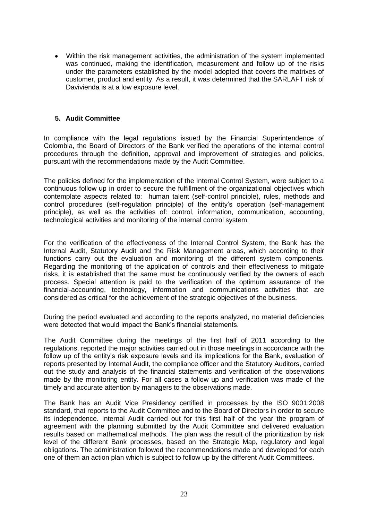Within the risk management activities, the administration of the system implemented was continued, making the identification, measurement and follow up of the risks under the parameters established by the model adopted that covers the matrixes of customer, product and entity. As a result, it was determined that the SARLAFT risk of Davivienda is at a low exposure level.

#### **5. Audit Committee**

In compliance with the legal regulations issued by the Financial Superintendence of Colombia, the Board of Directors of the Bank verified the operations of the internal control procedures through the definition, approval and improvement of strategies and policies, pursuant with the recommendations made by the Audit Committee.

The policies defined for the implementation of the Internal Control System, were subject to a continuous follow up in order to secure the fulfillment of the organizational objectives which contemplate aspects related to: human talent (self-control principle), rules, methods and control procedures (self-regulation principle) of the entity's operation (self-management principle), as well as the activities of: control, information, communication, accounting, technological activities and monitoring of the internal control system.

For the verification of the effectiveness of the Internal Control System, the Bank has the Internal Audit, Statutory Audit and the Risk Management areas, which according to their functions carry out the evaluation and monitoring of the different system components. Regarding the monitoring of the application of controls and their effectiveness to mitigate risks, it is established that the same must be continuously verified by the owners of each process. Special attention is paid to the verification of the optimum assurance of the financial-accounting, technology, information and communications activities that are considered as critical for the achievement of the strategic objectives of the business.

During the period evaluated and according to the reports analyzed, no material deficiencies were detected that would impact the Bank's financial statements.

The Audit Committee during the meetings of the first half of 2011 according to the regulations, reported the major activities carried out in those meetings in accordance with the follow up of the entity's risk exposure levels and its implications for the Bank, evaluation of reports presented by Internal Audit, the compliance officer and the Statutory Auditors, carried out the study and analysis of the financial statements and verification of the observations made by the monitoring entity. For all cases a follow up and verification was made of the timely and accurate attention by managers to the observations made.

The Bank has an Audit Vice Presidency certified in processes by the ISO 9001:2008 standard, that reports to the Audit Committee and to the Board of Directors in order to secure its independence. Internal Audit carried out for this first half of the year the program of agreement with the planning submitted by the Audit Committee and delivered evaluation results based on mathematical methods. The plan was the result of the prioritization by risk level of the different Bank processes, based on the Strategic Map, regulatory and legal obligations. The administration followed the recommendations made and developed for each one of them an action plan which is subject to follow up by the different Audit Committees.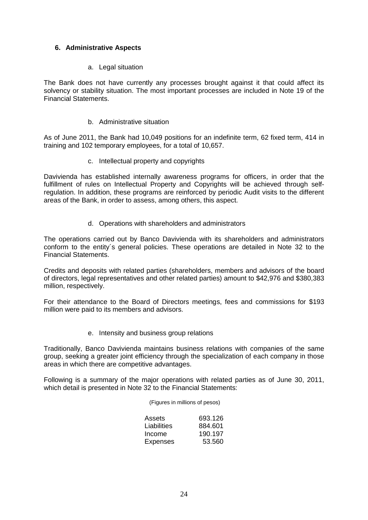# **6. Administrative Aspects**

#### a. Legal situation

The Bank does not have currently any processes brought against it that could affect its solvency or stability situation. The most important processes are included in Note 19 of the Financial Statements.

#### b. Administrative situation

As of June 2011, the Bank had 10,049 positions for an indefinite term, 62 fixed term, 414 in training and 102 temporary employees, for a total of 10,657.

c. Intellectual property and copyrights

Davivienda has established internally awareness programs for officers, in order that the fulfillment of rules on Intellectual Property and Copyrights will be achieved through selfregulation. In addition, these programs are reinforced by periodic Audit visits to the different areas of the Bank, in order to assess, among others, this aspect.

d. Operations with shareholders and administrators

The operations carried out by Banco Davivienda with its shareholders and administrators conform to the entity´s general policies. These operations are detailed in Note 32 to the Financial Statements.

Credits and deposits with related parties (shareholders, members and advisors of the board of directors, legal representatives and other related parties) amount to \$42,976 and \$380,383 million, respectively.

For their attendance to the Board of Directors meetings, fees and commissions for \$193 million were paid to its members and advisors.

e. Intensity and business group relations

Traditionally, Banco Davivienda maintains business relations with companies of the same group, seeking a greater joint efficiency through the specialization of each company in those areas in which there are competitive advantages.

Following is a summary of the major operations with related parties as of June 30, 2011, which detail is presented in Note 32 to the Financial Statements:

(Figures in millions of pesos)

| Assets      | 693.126 |
|-------------|---------|
| Liabilities | 884.601 |
| Income      | 190.197 |
| Expenses    | 53.560  |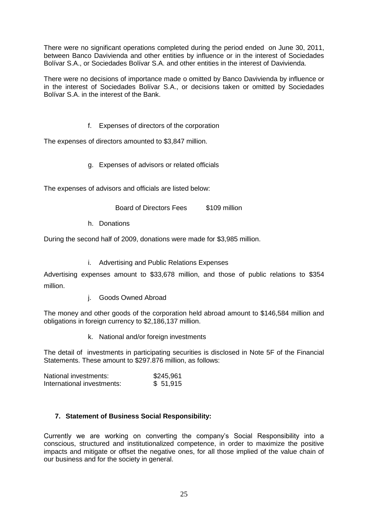There were no significant operations completed during the period ended on June 30, 2011, between Banco Davivienda and other entities by influence or in the interest of Sociedades Bolívar S.A., or Sociedades Bolívar S.A. and other entities in the interest of Davivienda.

There were no decisions of importance made o omitted by Banco Davivienda by influence or in the interest of Sociedades Bolívar S.A., or decisions taken or omitted by Sociedades Bolívar S.A. in the interest of the Bank.

f. Expenses of directors of the corporation

The expenses of directors amounted to \$3,847 million.

g. Expenses of advisors or related officials

The expenses of advisors and officials are listed below:

Board of Directors Fees \$109 million

h. Donations

During the second half of 2009, donations were made for \$3,985 million.

i. Advertising and Public Relations Expenses

Advertising expenses amount to \$33,678 million, and those of public relations to \$354 million.

j. Goods Owned Abroad

The money and other goods of the corporation held abroad amount to \$146,584 million and obligations in foreign currency to \$2,186,137 million.

k. National and/or foreign investments

The detail of investments in participating securities is disclosed in Note 5F of the Financial Statements. These amount to \$297.876 million, as follows:

| National investments:      | \$245,961 |  |
|----------------------------|-----------|--|
| International investments: | \$51,915  |  |

#### **7. Statement of Business Social Responsibility:**

Currently we are working on converting the company's Social Responsibility into a conscious, structured and institutionalized competence, in order to maximize the positive impacts and mitigate or offset the negative ones, for all those implied of the value chain of our business and for the society in general.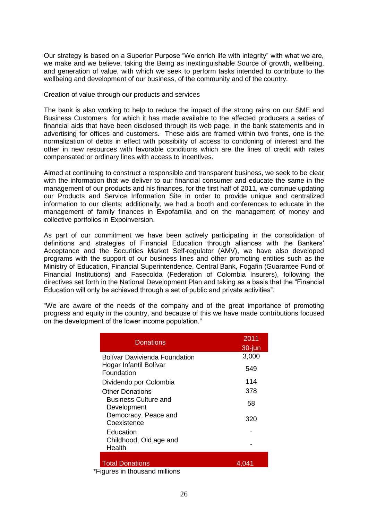Our strategy is based on a Superior Purpose "We enrich life with integrity" with what we are, we make and we believe, taking the Being as inextinguishable Source of growth, wellbeing, and generation of value, with which we seek to perform tasks intended to contribute to the wellbeing and development of our business, of the community and of the country.

#### Creation of value through our products and services

The bank is also working to help to reduce the impact of the strong rains on our SME and Business Customers for which it has made available to the affected producers a series of financial aids that have been disclosed through its web page, in the bank statements and in advertising for offices and customers. These aids are framed within two fronts, one is the normalization of debts in effect with possibility of access to condoning of interest and the other in new resources with favorable conditions which are the lines of credit with rates compensated or ordinary lines with access to incentives.

Aimed at continuing to construct a responsible and transparent business, we seek to be clear with the information that we deliver to our financial consumer and educate the same in the management of our products and his finances, for the first half of 2011, we continue updating our Products and Service Information Site in order to provide unique and centralized information to our clients; additionally, we had a booth and conferences to educate in the management of family finances in Expofamilia and on the management of money and collective portfolios in Expoinversion.

As part of our commitment we have been actively participating in the consolidation of definitions and strategies of Financial Education through alliances with the Bankers' Acceptance and the Securities Market Self-regulator (AMV), we have also developed programs with the support of our business lines and other promoting entities such as the Ministry of Education, Financial Superintendence, Central Bank, Fogafin (Guarantee Fund of Financial Institutions) and Fasecolda (Federation of Colombia Insurers), following the directives set forth in the National Development Plan and taking as a basis that the "Financial Education will only be achieved through a set of public and private activities".

"We are aware of the needs of the company and of the great importance of promoting progress and equity in the country, and because of this we have made contributions focused on the development of the lower income population."

| Donations                                             | 2011<br>$30$ -jun |
|-------------------------------------------------------|-------------------|
| Bolívar Davivienda Foundation                         | 3,000             |
| Hogar Infantil Bolívar<br>Foundation                  | 549               |
| Dividendo por Colombia                                | 114               |
| <b>Other Donations</b>                                | 378               |
| <b>Business Culture and</b><br>Development            | 58                |
| Democracy, Peace and<br>Coexistence                   | 320               |
| Education                                             |                   |
| Childhood, Old age and<br>Health                      |                   |
| <b>Total Donations</b><br>igures in thousand millions | 4.041             |

\*Figures in thousand millions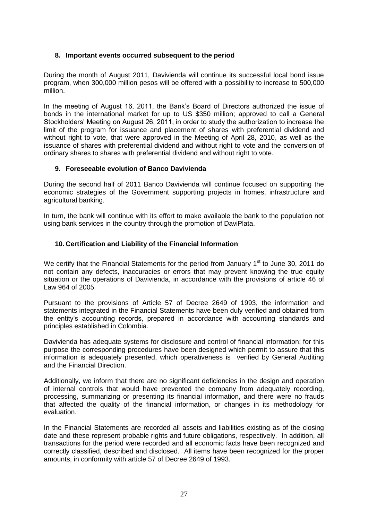# **8. Important events occurred subsequent to the period**

During the month of August 2011, Davivienda will continue its successful local bond issue program, when 300,000 million pesos will be offered with a possibility to increase to 500,000 million.

In the meeting of August 16, 2011, the Bank's Board of Directors authorized the issue of bonds in the international market for up to US \$350 million; approved to call a General Stockholders' Meeting on August 26, 2011, in order to study the authorization to increase the limit of the program for issuance and placement of shares with preferential dividend and without right to vote, that were approved in the Meeting of April 28, 2010, as well as the issuance of shares with preferential dividend and without right to vote and the conversion of ordinary shares to shares with preferential dividend and without right to vote.

#### **9. Foreseeable evolution of Banco Davivienda**

During the second half of 2011 Banco Davivienda will continue focused on supporting the economic strategies of the Government supporting projects in homes, infrastructure and agricultural banking.

In turn, the bank will continue with its effort to make available the bank to the population not using bank services in the country through the promotion of DaviPlata.

# **10. Certification and Liability of the Financial Information**

We certify that the Financial Statements for the period from January 1<sup>st</sup> to June 30, 2011 do not contain any defects, inaccuracies or errors that may prevent knowing the true equity situation or the operations of Davivienda, in accordance with the provisions of article 46 of Law 964 of 2005.

Pursuant to the provisions of Article 57 of Decree 2649 of 1993, the information and statements integrated in the Financial Statements have been duly verified and obtained from the entity's accounting records, prepared in accordance with accounting standards and principles established in Colombia.

Davivienda has adequate systems for disclosure and control of financial information; for this purpose the corresponding procedures have been designed which permit to assure that this information is adequately presented, which operativeness is verified by General Auditing and the Financial Direction.

Additionally, we inform that there are no significant deficiencies in the design and operation of internal controls that would have prevented the company from adequately recording, processing, summarizing or presenting its financial information, and there were no frauds that affected the quality of the financial information, or changes in its methodology for evaluation.

In the Financial Statements are recorded all assets and liabilities existing as of the closing date and these represent probable rights and future obligations, respectively. In addition, all transactions for the period were recorded and all economic facts have been recognized and correctly classified, described and disclosed. All items have been recognized for the proper amounts, in conformity with article 57 of Decree 2649 of 1993.